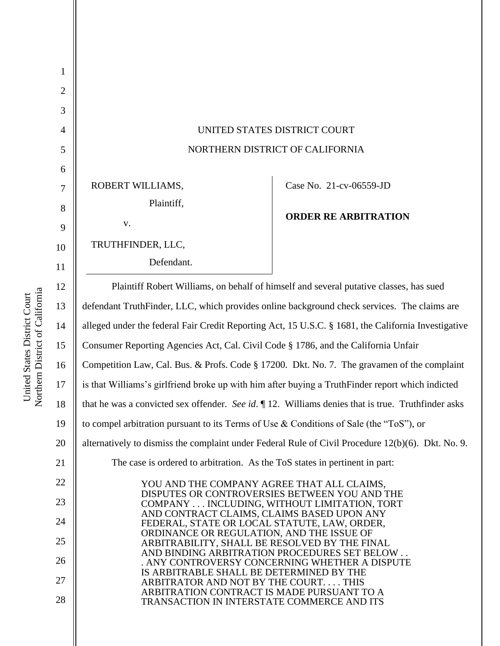| $\mathbf{1}$   |                                                                                                                                |                             |
|----------------|--------------------------------------------------------------------------------------------------------------------------------|-----------------------------|
| $\overline{2}$ |                                                                                                                                |                             |
| 3              |                                                                                                                                |                             |
| $\overline{4}$ | UNITED STATES DISTRICT COURT                                                                                                   |                             |
| 5              | NORTHERN DISTRICT OF CALIFORNIA                                                                                                |                             |
| 6              |                                                                                                                                |                             |
| $\overline{7}$ | ROBERT WILLIAMS,                                                                                                               | Case No. 21-cv-06559-JD     |
| 8              | Plaintiff,                                                                                                                     |                             |
| 9              | V.                                                                                                                             | <b>ORDER RE ARBITRATION</b> |
| 10             | TRUTHFINDER, LLC,                                                                                                              |                             |
| 11             | Defendant.                                                                                                                     |                             |
| 12             | Plaintiff Robert Williams, on behalf of himself and several putative classes, has sued                                         |                             |
| 13             | defendant TruthFinder, LLC, which provides online background check services. The claims are                                    |                             |
| 14             | alleged under the federal Fair Credit Reporting Act, 15 U.S.C. § 1681, the California Investigative                            |                             |
| 15             | Consumer Reporting Agencies Act, Cal. Civil Code § 1786, and the California Unfair                                             |                             |
| 16             | Competition Law, Cal. Bus. & Profs. Code § 17200. Dkt. No. 7. The gravamen of the complaint                                    |                             |
| 17             | is that Williams's girlfriend broke up with him after buying a TruthFinder report which indicted                               |                             |
| 18             | that he was a convicted sex offender. See id. $\P$ 12. Williams denies that is true. Truthfinder asks                          |                             |
| 19             | to compel arbitration pursuant to its Terms of Use $\&$ Conditions of Sale (the "ToS"), or                                     |                             |
| 20             | alternatively to dismiss the complaint under Federal Rule of Civil Procedure 12(b)(6). Dkt. No. 9.                             |                             |
| 21             | The case is ordered to arbitration. As the ToS states in pertinent in part:                                                    |                             |
| 22             | YOU AND THE COMPANY AGREE THAT ALL CLAIMS,                                                                                     |                             |
| 23             | DISPUTES OR CONTROVERSIES BETWEEN YOU AND THE<br>COMPANY  INCLUDING, WITHOUT LIMITATION, TORT                                  |                             |
| 24             | AND CONTRACT CLAIMS, CLAIMS BASED UPON ANY<br>FEDERAL, STATE OR LOCAL STATUTE, LAW, ORDER,                                     |                             |
| 25             | ORDINANCE OR REGULATION, AND THE ISSUE OF<br>ARBITRABILITY, SHALL BE RESOLVED BY THE FINAL                                     |                             |
| 26             | AND BINDING ARBITRATION PROCEDURES SET BELOW<br>. ANY CONTROVERSY CONCERNING WHETHER A DISPUTE                                 |                             |
| 27             | IS ARBITRABLE SHALL BE DETERMINED BY THE<br>ARBITRATOR AND NOT BY THE COURT THIS<br>ARBITRATION CONTRACT IS MADE PURSUANT TO A |                             |
| 28             | TRANSACTION IN INTERSTATE COMMERCE AND ITS                                                                                     |                             |
|                |                                                                                                                                |                             |

United States District Court<br>Northern District of California Northern District of California United States District Court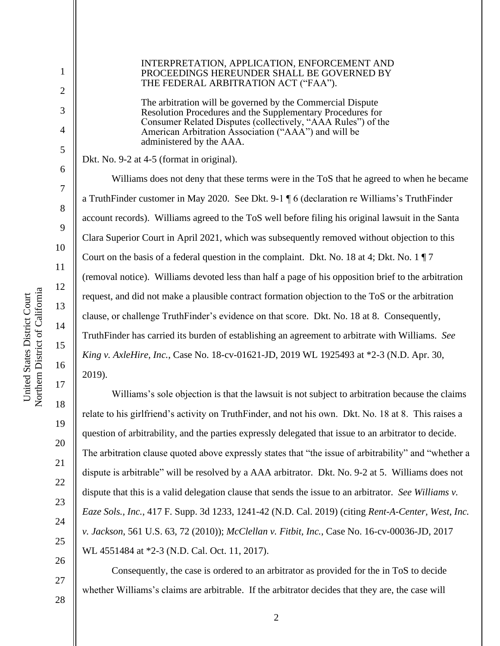Northern District of California Northern District of California United States District Court United States District Court

1

2

3

4

5

6

7

8

9

10

11

12

13

14

15

16

17

18

19

20

21

22

23

24

25

26

27

## INTERPRETATION, APPLICATION, ENFORCEMENT AND PROCEEDINGS HEREUNDER SHALL BE GOVERNED BY THE FEDERAL ARBITRATION ACT ("FAA").

The arbitration will be governed by the Commercial Dispute Resolution Procedures and the Supplementary Procedures for Consumer Related Disputes (collectively, "AAA Rules") of the American Arbitration Association ("AAA") and will be administered by the AAA.

Dkt. No. 9-2 at 4-5 (format in original).

Williams does not deny that these terms were in the ToS that he agreed to when he became a TruthFinder customer in May 2020. See Dkt. 9-1 ¶ 6 (declaration re Williams's TruthFinder account records). Williams agreed to the ToS well before filing his original lawsuit in the Santa Clara Superior Court in April 2021, which was subsequently removed without objection to this Court on the basis of a federal question in the complaint. Dkt. No. 18 at 4; Dkt. No. 1  $\sqrt{17}$ (removal notice). Williams devoted less than half a page of his opposition brief to the arbitration request, and did not make a plausible contract formation objection to the ToS or the arbitration clause, or challenge TruthFinder's evidence on that score. Dkt. No. 18 at 8. Consequently, TruthFinder has carried its burden of establishing an agreement to arbitrate with Williams. *See King v. AxleHire, Inc.*, Case No. 18-cv-01621-JD, 2019 WL 1925493 at \*2-3 (N.D. Apr. 30, 2019).

Williams's sole objection is that the lawsuit is not subject to arbitration because the claims relate to his girlfriend's activity on TruthFinder, and not his own. Dkt. No. 18 at 8. This raises a question of arbitrability, and the parties expressly delegated that issue to an arbitrator to decide. The arbitration clause quoted above expressly states that "the issue of arbitrability" and "whether a dispute is arbitrable" will be resolved by a AAA arbitrator. Dkt. No. 9-2 at 5. Williams does not dispute that this is a valid delegation clause that sends the issue to an arbitrator. *See Williams v. Eaze Sols., Inc.*, 417 F. Supp. 3d 1233, 1241-42 (N.D. Cal. 2019) (citing *Rent-A-Center, West, Inc. v. Jackson*, 561 U.S. 63, 72 (2010)); *McClellan v. Fitbit, Inc.*, Case No. 16-cv-00036-JD, 2017 WL 4551484 at \*2-3 (N.D. Cal. Oct. 11, 2017).

Consequently, the case is ordered to an arbitrator as provided for the in ToS to decide whether Williams's claims are arbitrable. If the arbitrator decides that they are, the case will

28